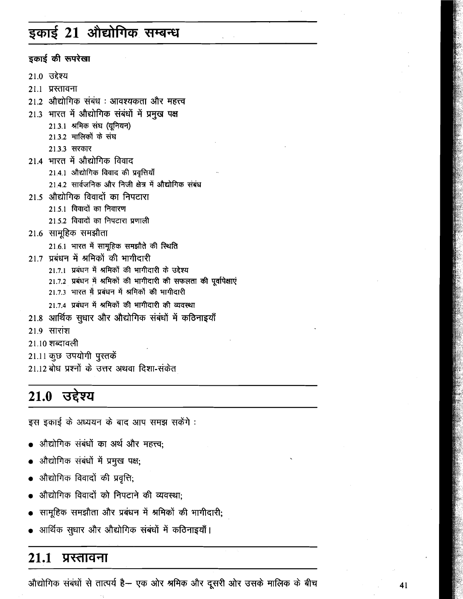# इकाई 21 ओद्योगिक सम्बन्ध

इकाई की रूपरेखा

- $210$  उद्देश्य
- 21.1 प्रस्तावना
- 21.2 औद्योगिक संबंध : आवश्यकता और महत्त्व
- 21.3 भारत में औद्योगिक संबंधों में प्रमुख पक्ष
	- 21.3.1 श्रमिक संघ (यूनियन)
	- 21.3.2 मालिकों के संघ
	- 21.3.3 सरकार
- 21.4 भारत में औद्योगिक विवाद
	- 21.4.1 औद्योगिक विवाद की प्रवृत्तियाँ
	- 21.4.2 सार्वजनिक और निजी क्षेत्र में औद्योगिक संबंध
- 21.5 औद्योगिक विवादों का निपटारा
	- 21.5.1 विवादों का निवारण
	- 21.5.2 विवादों का निपटारा प्रणाली
- 21.6 सामूहिक समझौता
	- 21.6.1 भारत में सामूहिक समझौते की स्थिति
- 21.7 प्रबंधन में श्रमिकों की भागीदारी
	- 21.7.1 प्रबंधन में श्रमिकों की भागीदारी के उद्देश्य
	- 21.7.2 प्रबंधन में श्रमिकों की भागीदारी की सफलता की पूर्वापेक्षाएं
	- 21.7.3 भारत में प्रबंधन में श्रमिकों की भागीदारी
	- 21.7.4 प्रबंधन में श्रमिकों की भागीदारी की व्यवस्था
- 21.8 आर्थिक सुधार और औद्योगिक संबंधों में कठिनाइयाँ
- 21.9 सारांश
- 21.10 शब्दावली
- 21.11 कुछ उपयोगी पुस्तकें
- 21.12 बोध प्रश्नों के उत्तर अथवा दिशा-संकेत

#### 21.0 उद्देश्य

इस इकाई के अध्ययन के बाद आप समझ सकेंगे :

- औद्योगिक संबंधों का अर्थ और महत्त्व:
- औद्योगिक संबंधों में प्रमुख पक्ष;
- औद्योगिक विवादों की प्रवृत्ति;
- औद्योगिक विवादों को निपटाने की व्यवस्था:
- सामूहिक समझौता और प्रबंधन में श्रमिकों की भागीदारी;
- आर्थिक सुधार और औद्योगिक संबंधों में कठिनाइयाँ।

#### $21.1$ प्रस्तावना

औद्योगिक संबंधों से तात्पर्य है— एक ओर श्रमिक और दूसरी ओर उसके मालिक के बीच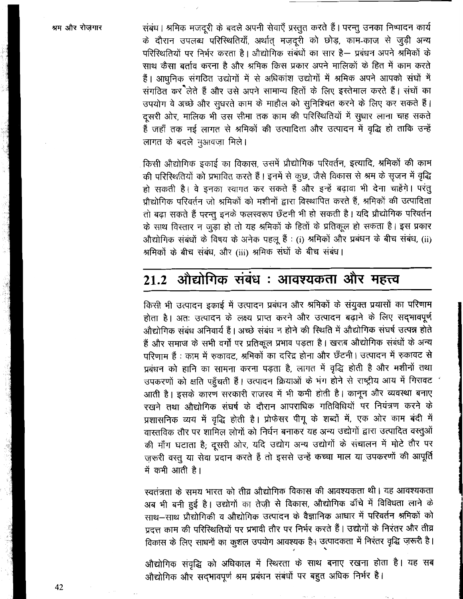संबंध। श्रमिक मजदूरी के बदले अपनी सेवाएँ प्रस्तुत करते हैं। परन्तु उनका निष्पादन कार्य के दौरान उपलब्ध परिस्थितियाँ, अर्थात मजदूरी को छोड़, काम-काज से जुड़ी अन्य परिस्थितियों पर निर्भर करता है। औद्योगिक संबंधों का सार है— प्रबंधन अपने श्रमिकों के साथ कैसा बर्ताव करना है और श्रमिक किस प्रकार अपने मालिकों के हित में काम करते हैं। आधुनिक संगठित उद्योगों में से अधिकांश उद्योगों में श्रमिक अपने आपको संघों में संगठित कर लेते हैं और उसे अपने सामान्य हितों के लिए इस्तेमाल करते हैं। संघों का उपयोग वे अच्छे और सूधरते काम के माहौल को सुनिश्चित करने के लिए कर सकते हैं। दूसरी ओर, मालिक भी उस सीमा तक काम की परिस्थितियों में सुधार लाना चाह सकते हैं जहाँ तक नई लागत से श्रमिकों की उत्पादिता और उत्पादन में वृद्धि हो ताकि उन्हें लागत के बदले मुआवजा मिले।

किसी औद्योगिक इकाई का विकास, उसमें प्रौद्योगिक परिवर्तन, इत्यादि, श्रमिकों की काम की परिस्थितियों को प्रभावित करते हैं। इनमें से कुछ, जैसे विकास से श्रम के सृजन में वृद्धि हो सकती है। वे इनका स्वागत कर सकते हैं और इन्हें बढ़ावा भी देना चाहेंगे। परंतू प्रौद्योगिक परिवर्तन जो श्रमिकों को मशीनों द्वारा विस्थापित करते हैं, श्रमिकों की उत्पादिता तो बढ़ा सकते हैं परन्तु इनके फलस्वरूप छँटनी भी हो सकती है। यदि प्रौद्योगिक परिवर्तन के साथ विस्तार न जुड़ा हो तो यह श्रमिकों के हितों के प्रतिकूल हो सकता है। इस प्रकार औद्योगिक संबंधों के विषय के अनेक पहलू हैं : (i) श्रमिकों और प्रबंधन के बीच संबंध, (ii) श्रमिकों के बीच संबंध, और (iii) श्रमिक संघों के बीच संबंध।

# 21.2 औद्योगिक संबंध : आवश्यकता और महत्त्व

किसी भी उत्पादन इकाई में उत्पादन प्रबंधन और श्रमिकों के संयुक्त प्रयासों का परिणाम होता है। अतः उत्पादन के लक्ष्य प्राप्त करने और उत्पादन बढ़ाने के लिए सदभावपूर्ण औद्योगिक संबंध अनिवार्य हैं। अच्छे संबंध न होने की स्थिति में औद्योगिक संघर्ष उत्पन्न होते हैं और समाज के सभी वर्गों पर प्रतिकूल प्रभाव पड़ता है। खराब औद्योगिक संबंधों के अन्य परिणाम हैं : काम में रुकावट, श्रमिकों का दरिद्र होना और छँटनी। उत्पादन में रुकावट से प्रबंधन को हानि का सामना करना पड़ता है, लागत में वृद्धि होती है और मशीनों तथा उपकरणों को क्षति पहुँचती हैं। उत्पादन क्रियाओं के भंग होने से राष्ट्रीय आय में गिरावट आती है। इसके कारण सरकारी राजस्व में भी कमी होती है। कानून और व्यवस्था बनाए रखने तथा औद्योगिक संघर्ष के दौरान आपराधिक गतिविधियों पर नियंत्रण करने के प्रशासनिक व्यय में वृद्धि होती है। प्रोफेसर पीगू के शब्दों में, एक ओर काम बंदी में वास्तविक तौर पर शामिल लोगों को निर्धन बनाकर यह अन्य उद्योगों द्वारा उत्पादित वस्तुओं की माँग घटाता है; दूसरी ओर, यदि उद्योग अन्य उद्योगों के संचालन में मोटे तौर पर ज़रूरी वस्तु या सेवा प्रदान करते हैं तो इससे उन्हें कच्चा माल या उपकरणों की आपूर्ति में कमी आती है।

स्वतंत्रता के समय भारत को तीव्र औद्योगिक विकास की आवश्यकता थी। यह आवश्यकता अब भी बनी हुई है। उद्योगों का तेज़ी से विकास, औद्योगिक ढाँचे में विविधता लाने के साथ-साथ प्रौद्योगिकी व औद्योगिक उत्पादन के वैज्ञानिक आधार में परिवर्तन श्रमिकों को प्रदत्त काम की परिस्थितियों पर प्रभावी तौर पर निर्भर करते हैं। उद्योगों के निरंतर और तीव्र विकास के लिए साधनों का कुशल उपयोग आवश्यक है। उत्पादकता में निरंतर वृद्धि ज़रूरी है।

औद्योगिक संवृद्धि को अधिकाल में स्थिरता के साथ बनाए रखना होता है। यह सब औद्योगिक और सदभावपूर्ण श्रम प्रबंधन संबंधों पर बहुत अधिक निर्भर है।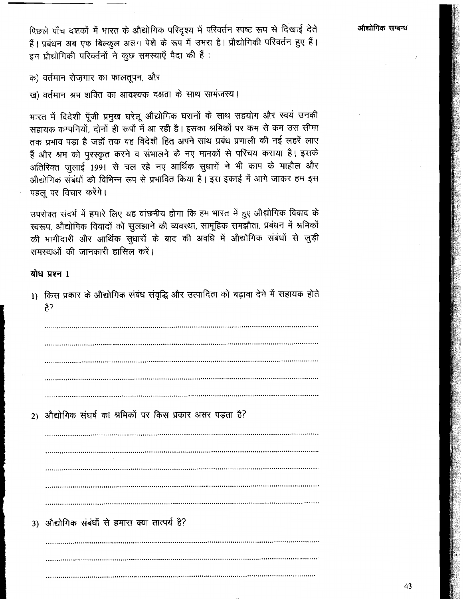पिछले पाँच दशकों में भारत के औद्योगिक परिदृश्य में परिवर्तन स्पष्ट रूप से दिखाई देते हैं। प्रबंधन अब एक बिल्कुल अलग पेशे के रूप में उभरा है। प्रौद्योगिकी परिवर्तन हुए हैं। इन प्रौद्योगिकी परिवर्तनों ने कुछ समस्याएँ पैदा की हैं:

औद्योगिक सम्बन्ध

क) वर्तमान रोजगार का फालतूपन, और

ख) वर्तमान श्रम शक्ति का आवश्यक दक्षता के साथ सामंजस्य।

भारत में विदेशी पूँजी प्रमुख घरेलू औद्योगिक घरानों के साथ सहयोग और स्वयं उनकी सहायक कम्पनियों, दोनों ही रूपों में आ रही है। इसका श्रमिकों पर कम से कम उस सीमा तक प्रभाव पड़ा है जहाँ तक वह विदेशी हित अपने साथ प्रबंध प्रणाली की नई लहरें लाए हैं और श्रम को पुरस्कृत करने व संभालने के नए मानकों से परिचय कराया है। इसके अतिरिक्त जुलाई 1991 से चल रहे नए आर्थिक सुधारों ने भी काम के माहौल और औद्योगिक संबंधों को विभिन्न रूप से प्रभावित किया है। इस इकाई में आगे जाकर हम इस पहलू पर विचार करेंगे।

उपरोक्त संदर्भ में हमारे लिए यह वांछनीय होगा कि हम भारत में हुए औद्योगिक विवाद के स्वरूप, औद्योगिक विवादों को सुलझाने की व्यवस्था, सामूहिक समझौता, प्रबंधन में श्रमिकों की भागीदारी और आर्थिक सुधारों के बाद की अवधि में औद्योगिक संबंधों से जुड़ी समस्याओं की जानकारी हासिल करें।

#### बोध प्रश्न 1

1) किस प्रकार के औद्योगिक संबंध संवृद्धि और उत्पादिता को बढ़ावा देने में सहायक होते हैं?

2) औद्योगिक संघर्ष का श्रमिकों पर किस प्रकार असर पड़ता है? 3) औद्योगिक संबंधों से हमारा क्या तात्पर्य है?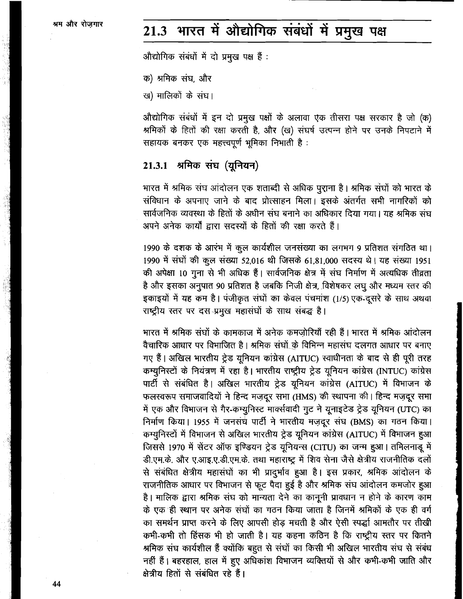# 21.3 भारत में औद्योगिक संबंधों में प्रमुख पक्ष

औद्योगिक संबंधों में दो प्रमुख पक्ष हैं :

क) श्रमिक संघ, और

ख) मालिकों के संघ।

औद्योगिक संबंधों में इन दो प्रमुख पक्षों के अलावा एक तीसरा पक्ष सरकार है जो (क) श्रमिकों के हितों की रक्षा करती है, और (ख) संघर्ष उत्पन्न होने पर उनके निपटाने में सहायक बनकर एक महत्त्वपूर्ण भूमिका निभाती है:

### 21.3.1 श्रमिक संघ (यूनियन)

भारत में श्रमिक संघ आंदोलन एक शताब्दी से अधिक पुराना है। श्रमिक संघों को भारत के संविधान के अपनाए जाने के बाद प्रोत्साहन मिला। इसके अंतर्गत सभी नागरिकों को सार्वजनिक व्यवस्था के हितों के अधीन संघ बनाने का अधिकार दिया गया। यह श्रमिक संघ अपने अनेक कार्यों द्वारा सदस्यों के हितों की रक्षा करते हैं।

1990 के दशक के आरंभ में कूल कार्यशील जनसंख्या का लगभग 9 प्रतिशत संगठित था। 1990 में संघों की कुल संख्या 52,016 थी जिसके 61,81,000 सदस्य थे। यह संख्या 1951 की अपेक्षा 10 गुना से भी अधिक हैं। सार्वजनिक क्षेत्र में संघ निर्माण में अत्यधिक तीव्रता है और इसका अनुपात 90 प्रतिशत है जबकि निजी क्षेत्र, विशेषकर लघु और मध्यम स्तर की इकाइयों में यह कम है। पंजीकृत संघों का केवल पंचमांश (1/5) एक-दूसरे के साथ अथवा राष्ट्रीय स्तर पर दस प्रमुख महासंघों के साथ संबद्ध है।

भारत में श्रमिक संघों के कामकाज में अनेक कमजोरियाँ रही हैं। भारत में श्रमिक आंदोलन वैचारिक आधार पर विभाजित है। श्रमिक संघों के विभिन्न महासंघ दलगत आधार पर बनाए गए हैं। अखिल भारतीय ट्रेड यूनियन कांग्रेस (AITUC) स्वाधीनता के बाद से ही पूरी तरह कम्यूनिस्टों के नियंत्रण में रहा है। भारतीय राष्ट्रीय ट्रेड यूनियन कांग्रेस (INTUC) कांग्रेस पार्टी से संबंधित है। अखिल भारतीय ट्रेड यूनियन कांग्रेस (AITUC) में विभाजन के फलस्वरूप समाजवादियों ने हिन्द मज़दूर सभा (HMS) की स्थापना की। हिन्द मज़दूर सभा में एक और विभाजन से गैर-कम्युनिस्ट मार्क्सवादी गुट ने यूनाइटेड ट्रेड यूनियन (UTC) का निर्माण किया। 1955 में जनसंघ पार्टी ने भारतीय मज़दूर संघ (BMS) का गठन किया। कम्यूनिस्टों में विभाजन से अखिल भारतीय ट्रेड यूनियन कांग्रेस (AITUC) में विभाजन हुआ जिससे 1970 में सेंटर ऑफ इण्डियन ट्रेड यूनियन्स (CITU) का जन्म हुआ। तमिलनाडू में डी.एम.के. और ए.आइ.ए.डी.एम.के. तथा महाराष्ट्र में शिव सेना जैसे क्षेत्रीय राजनीतिक दलों से संबंधित क्षेत्रीय महासंघों का भी प्रादुर्भाव हुआ है। इस प्रकार, श्रमिक आंदोलन के राजनीतिक आधार पर विभाजन से फूट पैदा हुई है और श्रमिक संघ आंदोलन कमजोर हुआ है। मालिक द्वारा श्रमिक संघ को मान्यता देने का कानूनी प्रावधान न होने के कारण काम के एक ही स्थान पर अनेक संघों का गठन किया जाता है जिनमें श्रमिकों के एक ही वर्ग का समर्थन प्राप्त करने के लिए आपसी होड़ मचती है और ऐसी स्पर्द्धा आमतौर पर तीखी कभी-कभी तो हिंसक भी हो जाती है। यह कहना कठिन है कि राष्ट्रीय स्तर पर कितने श्रमिक संघ कार्यशील हैं क्योंकि बहुत से संघों का किसी भी अखिल भारतीय संघ से संबंध नहीं हैं। बहरहाल, हाल में हुए अधिकांश विभाजन व्यक्तियों से और कभी-कभी जाति और क्षेत्रीय हितों से संबंधित रहे हैं।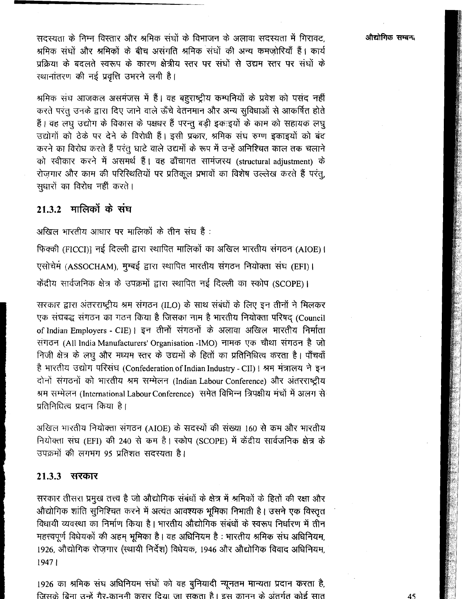सदस्यता के निम्न विस्तार और श्रमिक संघों के विभाजन के अलावा सदस्यता में गिरावट, श्रमिक संघों और श्रमिकों के बीच असंगति श्रमिक संघों की अन्य कमजोरियाँ हैं। कार्य प्रक्रिया के बदलते स्वरूप के कारण क्षेत्रीय स्तर पर संघों से उद्यम स्तर पर संघों के स्थानांतरण की नई प्रवृत्ति उभरने लगी है।

श्रमिक संघ आजकल असमंजस में हैं। वह बहुराष्ट्रीय कम्पनियों के प्रवेश को पसंद नहीं करते परंतु उनके द्वारा दिए जाने वाले ऊँचे वेतनमान और अन्य सुविधाओं से आकर्षित होते हैं। वह लघु उद्योग के विकास के पक्षधर हैं परन्तू बड़ी इकःइयों के काम को सहायक लघु उद्योगों को ठेके पर देने के विरोधी हैं। इसी प्रकार, श्रमिक संघ रुग्ण इकाइयों को बंद करने का विरोध करते हैं परंतु घाटे वाले उद्यमों के रूप में उन्हें अनिश्चित काल तक चलाने को स्वीकार करने में असमर्थ हैं। वह ढाँचागत सामंजस्य (structural adjustment) के रोज़गार और काम की परिस्थितियों पर प्रतिकूल प्रभावों का विशेष उल्लेख करते हैं परंतू, सुधारों का विरोध नहीं करते।

# $21.3.2$  मालिकों के संघ

अखिल भारतीय आधार पर मालिकों के तीन संघ हैं :

फिक्की (FICCI)] नई दिल्ली द्वारा स्थापित मालिकों का अखिल भारतीय संगठन (AIOE)। एसोचेमं (ASSOCHAM), मुम्बई द्वारा स्थापित भारतीय संगठन नियोक्ता संघ (EFI)। केंद्रीय सार्वजनिक क्षेत्र के उपक्रमों द्वारा स्थापित नई दिल्ली का स्कोप (SCOPE)।

सरकार द्वारा अंतरराष्ट्रीय श्रम संगठन (ILO) के साथ संबंधों के लिए इन तीनों ने मिलकर एक संघबद्ध संगठन का गठन किया है जिसका नाम है भारतीय नियोक्ता परिषद् (Council of Indian Employers - CIE) | इन तीनों संगठनों के अलावा अखिल भारतीय निर्माता संगठन (All India Manufacturers' Organisation -IMO) नामक एक चौथा संगठन है जो निजी क्षेत्र के लघु और मध्यम स्तर के उद्यमों के हितों का प्रतिनिधित्व करता है। पाँचवाँ है भारतीय उद्योग परिसंघ (Confederation of Indian Industry - CII) । श्रम मंत्रालय ने इन दोनों संगठनों को भारतीय श्रम सम्मेलन (Indian Labour Conference) और अंतरराष्ट्रीय श्रम सम्मेलन (International Labour Conference) समेत विभिन्न त्रिपक्षीय मंचों में अलग से प्रतिनिधित्व प्रदान किया है।

अखिल भारतीय नियोक्ता संगठन (AIOE) के सदस्यों की संख्या 160 से कम और भारतीय नियोक्ता संघ (EFI) की 240 से कम है। स्कोप (SCOPE) में केंद्रीय सार्वजनिक क्षेत्र के उपक्रमों की लगभग 95 प्रतिशत सदस्यता है।

#### 21.3.3 सरकार

सरकार तीसरा प्रमुख तत्त्व है जो औद्योगिक संबंधों के क्षेत्र में श्रमिकों के हितों की रक्षा और औद्योगिक शांति सुनिश्चित करने में अत्यंत आवश्यक भूमिका निभाती है। उसने एक विस्तृत विधायी व्यवस्था का निर्माण किया है। भारतीय औद्योगिक संबंधों के स्वरूप निर्धारण में तीन महत्त्वपूर्ण विधेयकों की अहम भूमिका है। वह अधिनियम है: भारतीय श्रमिक संघ अधिनियम, 1926, औद्योगिक रोजगार (स्थायी निर्देश) विधेयक, 1946 और औद्योगिक विवाद अधिनियम, 19471

1926 का श्रमिक संघ अधिनियम संघों को वह बूनियादी न्यूनतम मान्यता प्रदान करता है, जिसके बिना उन्हें गैर-काननी करार दिया जा सकता है। इस कानन के अंतर्गत कोई सात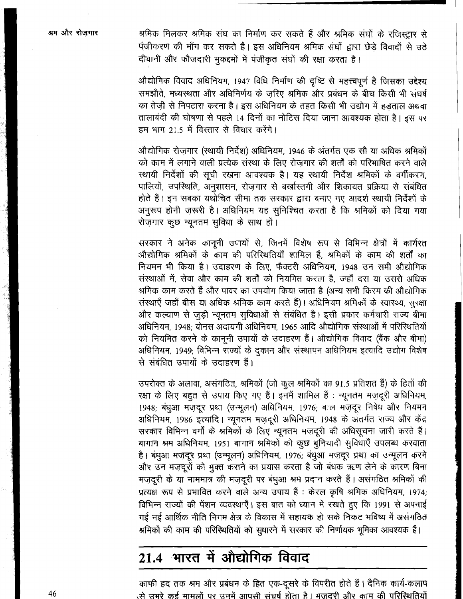श्रमिक मिलकर श्रमिक संघ का निर्माण कर सकते हैं और श्रमिक संघों के रजिस्ट्रार से पंजीकरण की माँग कर सकते हैं। इस अधिनियम श्रमिक संघों द्वारा छेड़े विवादों से उठे दीवानी और फौजदारी मुकद्दमों में पंजीकृत संघों की रक्षा करता है।

औद्योगिक विवाद अधिनियम, 1947 विधि निर्माण की दृष्टि से महत्त्वपूर्ण है जिसका उद्देश्य समझौते. मध्यस्थता और अधिनिर्णय के जरिए श्रमिक और प्रबंधन के बीच किसी भी संघर्ष का तेजी से निपटारा करना है। इस अधिनियम के तहत किसी भी उद्योग में हड़ताल अथवा तालाबंदी की घोषणा से पहले 14 दिनों का नोटिस दिया जाना आवश्यक होता है। इस पर हम भाग 21.5 में विस्तार से विचार करेंगे।

औद्योगिक रोजगार (स्थायी निर्देश) अधिनियम, 1946 के अंतर्गत एक सौ या अधिक श्रमिकों को काम में लगाने वाली प्रत्येक संस्था के लिए रोजगार की शर्तों को परिभाषित करने वाले स्थायी निर्देशों की सूची रखना आवश्यक है। यह स्थायी निर्देश श्रमिकों के वर्गीकरण, पालियों, उपरिथति, अनुशासन, रोजगार से बर्खास्तगी और शिकायत प्रक्रिया से संबंधित होते हैं। इन सबका यथोचित सीमा तक सरकार द्वारा बनाए गए आदर्श स्थायी निर्देशों के अनुरूप होनी ज़रूरी है। अधिनियम यह सुनिश्चित करता है कि श्रमिकों को दिया गया रोजगार कुछ न्यूनतम सुविधा के साथ हों।

सरकार ने अनेक कानूनी उपायों से, जिनमें विशेष रूप से विभिन्न क्षेत्रों में कार्यरत औद्योगिक श्रमिकों के काम की परिस्थितियाँ शामिल हैं, श्रमिकों के काम की शर्तों का नियमन भी किया है। उदाहरण के लिए, फैक्टरी अधिनियम, 1948 उन सभी औद्योगिक संस्थाओं में, सेवा और काम की शर्तों को नियमित करता है, जहाँ दस या उससे अधिक श्रमिक काम करते हैं और पावर का उपयोग किया जाता है (अन्य सभी किस्म की औद्योगिक संस्थाएँ जहाँ बीस या अधिक श्रमिक काम करते हैं)। अधिनियम श्रमिकों के स्वास्थ्य, सुरक्षा और कल्याण से जुड़ी न्यूनतम सुविधाओं से संबंधित है। इसी प्रकार कर्मचारी राज्य बीमा अधिनियम, 1948; बोनस अदायगी अधिनियम, 1965 आदि औद्योगिक संस्थाओं में परिस्थितियों को नियमित करने के कानूनी उपायों के उदाहरण हैं। ओद्योगिक विवाद (बैंक और बीमा) अधिनियम, 1949; विभिन्न राज्यों के दुकान और संस्थापन अधिनियम इत्यादि उद्योग विशेष से संबंधित उपायों के उदाहरण हैं।

उपरोक्त के अलावा, असंगठित, श्रमिकों (जो कूल श्रमिकों का 91.5 प्रतिशत हैं) के हितों की रक्षा के लिए बहुत से उपाय किए गए हैं। इनमें शामिल हैं : न्यूनतम मज़दूरी अधिनियम, 1948; बंधुआ मजदूर प्रथा (उन्मूलन) अधिनियम, 1976; बाल मजदूर निषेध और नियमन अधिनियम, 1986 इत्यादि। न्यूनतम मज़दूरी अधिनियम, 1948 के अंतर्गत राज्य और केंद्र सरकार विभिन्न वर्गों के श्रमिकों के लिए न्यूनतम मज़दूरी की अधिसूचना जारी करते हैं। बागान श्रम अधिनियम, 1951 बागान श्रमिकों को कुछ बुनियादी सुविधाएँ उपलब्ध करवाता है। बंधुआ मज़दूर प्रथा (उन्मूलन) अधिनियम, 1976; बंधुआ मज़दूर प्रथा का उन्मूलन करने और उन मज़दूरों को मुक्त कराने का प्रयास करता है जो बंधक ऋण लेने के कारण बिना मज़दूरी के या नाममात्र की मज़दूरी पर बंधुआ श्रम प्रदान करते हैं। असंगठित श्रमिकों की प्रत्यक्ष रूप से प्रभावित करने वाले अन्य उपाय हैं : केरल कृषि श्रमिक अधिनियम, 1974; विभिन्न राज्यों की पेंशन व्यवस्थाएँ। इस बात को ध्यान में रखते हुए कि 1991 से अपनाई गई नई आर्थिक नीति निगम क्षेत्र के विकास में सहायक हो सके निकट भविष्य में असंगठित श्रमिकों की काम की परिस्थितियों को सुधारने में सरकार की निर्णायक भूमिका आवश्यक हैं।

# 21.4 भारत में औद्योगिक विवाद

काफी हद तक श्रम और प्रबंधन के हित एक-दूसरे के विपरीत होते हैं। दैनिक कार्य-कलाप से उभरे कई मामलों पर उनमें आपसी संघर्ष होता है। मजदरी और काम की परिस्थितियों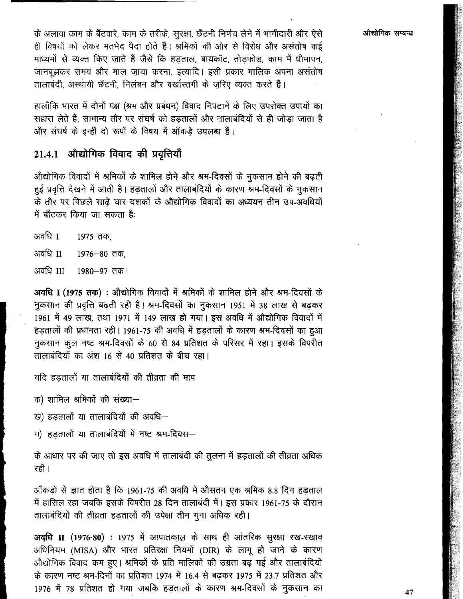के अलावा काम के बँटवारे, काम के तरीके, सुरक्षा, छँटनी निर्णय लेने में भागीदारी और ऐसे ही विषयों को लेकर मतभेद पैदा होते हैं। श्रमिकों की ओर से विरोध और असंतोष कई माध्यमों से व्यक्त किए जाते हैं जैसे कि हड़ताल, बायकॉट, तोड़फोड़, काम में धीमापन, जानबुझकर समय और माल जाया करना, इत्यादि। इसी प्रकार मालिक अपना असंतोष तालाबंदी. अस्थायी छँटनी. निलंबन और बर्खास्तगी के जरिए व्यक्त करते हैं।

हालाँकि भारत में दोनों पक्ष (श्रम और प्रबंधन) विवाद निपटाने के लिए उपरोक्त उपायों का सहारा लेते हैं. सामान्य तौर पर संघर्ष को हड़तालों और नालाबंदियों से ही जोड़ा जाता है और संघर्ष के इन्हीं दो रूपों के विषय में आँव डे उपलब्ध हैं।

# 21.4.1 औद्योगिक विवाद की प्रवृत्तियाँ

औद्योगिक विवादों में श्रमिकों के शामिल होने और श्रम-दिवसों के नुकसान होने की बढती हुई प्रवृत्ति देखने में आती है। हड़तालों और तालाबंदियों के कारण श्रम-दिवसों के नुकसान के तौर पर पिछले साढे चार दशकों के औद्योगिक विवादों का अध्ययन तीन उप-अवधियों में बॉटकर किया जा सकता है:

- अवधि । 1975 तक.
- अवधि II 1976–80 तक.
- अवधि III 1980-97 तक।

अवधि I (1975 तक) : औद्योगिक विवादों में श्रमिकों के शामिल होने और श्रम-दिवसों के नुकसान की प्रवृत्ति बढ़ती रही है। श्रम-दिवसों का नुकसान 1951 में 38 लाख से बढ़कर 1961 में 49 लाख, तथा 1971 में 149 लाख हो गया। इस अवधि में औद्योगिक विवादों में हड़तालों की प्रधानता रही। 1961-75 की अवधि में हड़तालों के कारण श्रम-दिवसों का हुआ नुकसान कुल नष्ट श्रम-दिवसों के 60 से 84 प्रतिशत के परिसर में रहा। इसके विपरीत तालाबंदियों का अंश 16 से 40 प्रतिशत के बीच रहा।

यदि हडतालों या तालाबंदियों की तीव्रता की माप

क) शामिल श्रमिकों की संख्या-

ख) हडतालों या तालाबंदियों की अवधि-

ग) हडतालों या तालाबंदियों में नष्ट श्रम-दिवस-

के आधार पर की जाए तो इस अवधि में तालाबंदी की तुलना में हड़तालों की तीव्रता अधिक रही।

आँकड़ों से ज्ञात होता है कि 1961-75 की अवधि में औसतन एक श्रमिक 8.8 दिन हड़ताल में हासिल रहा जबकि इसके विपरीत 28 दिन तालाबंदी में। इस प्रकार 1961-75 के दौरान तालाबंदियों की तीव्रता हड़तालों की उपेक्षा तीन गुना अधिक रही।

अवधि II (1976-80) : 1975 में आपातकाल के साथ ही आंतरिक सुरक्षा रख-रखाव अधिनियम (MISA) और भारत प्रतिरक्षा नियमों (DIR) के लागू हो जाने के कारण औद्योगिक विवाद कम हुए। श्रमिकों के प्रति मालिकों की उग्रता बढ़ गई और तालाबंदियों के कारण नष्ट श्रम-दिनों का प्रतिशत 1974 में 16.4 से बढ़कर 1975 में 23.7 प्रतिशत और 1976 में 78 प्रतिशत हो गया जबकि हड़तालों के कारण श्रम-दिवसों के नुकसान का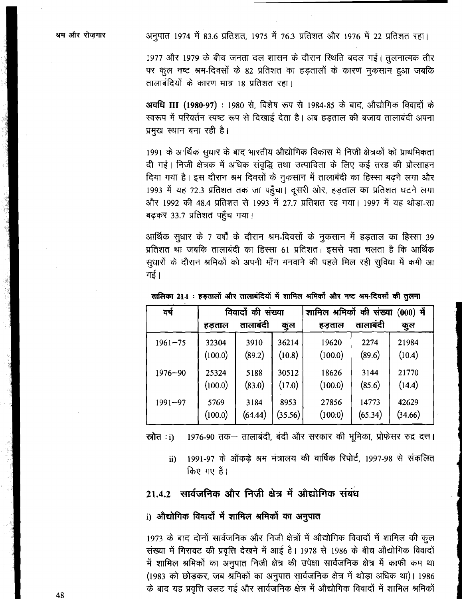श्रम और रोजगार

अनुपात 1974 में 83.6 प्रतिशत, 1975 में 76.3 प्रतिशत और 1976 में 22 प्रतिशत रहा।

1977 और 1979 के बीच जनता दल शासन के दौरान स्थिति बदल गई। तुलनात्मक तौर पर कूल नष्ट श्रम-दिवसों के 82 प्रतिशत का हड़तालों के कारण नुकसान हुआ जबकि तालाबंदियों के कारण मात्र 18 प्रतिशत रहा।

अवधि III (1980-97) : 1980 से, विशेष रूप से 1984-85 के बाद, औद्योगिक विवादों के स्वरूप में परिवर्तन स्पष्ट रूप से दिखाई देता है। अब हड़ताल की बजाय तालाबंदी अपना प्रमुख स्थान बना रही है।

1991 के आर्थिक सुधार के बाद भारतीय औद्योगिक विकास में निजी क्षेत्रकों को प्राथमिकता दी गई। निजी क्षेत्रक में अधिक संवृद्धि तथा उत्पादिता के लिए कई तरह की प्रोत्साहन दिया गया है। इस दौरान श्रम दिवसों के नुकसान में तालाबंदी का हिस्सा बढ़ने लगा और 1993 में यह 72.3 प्रतिशत तक जा पहुँचा। दूसरी ओर, हड़ताल का प्रतिशत घटने लगा और 1992 की 48.4 प्रतिशत से 1993 में 27.7 प्रतिशत रह गया। 1997 में यह थोड़ा-सा बढकर 33.7 प्रतिशत पहुँच गया।

आर्थिक सुधार के 7 वर्षों के दौरान श्रम-दिवसों के नुकसान में हड़ताल का हिस्सा 39 प्रतिशत था जबकि तालाबंदी का हिस्सा 61 प्रतिशत। इससे पता चलता है कि आर्थिक सूधारों के दौरान श्रमिकों को अपनी माँग मनवाने की पहले मिल रही सुविधा में कमी आ गई ।

| वर्ष        | विवादों की संख्या |          |         | ों<br>की संख्या<br>श्रमिको<br>शामिल<br>(000) |          |         |
|-------------|-------------------|----------|---------|----------------------------------------------|----------|---------|
|             | हड़ताल            | तालाबंदी | कुल     | हड़ताल                                       | तालाबंदी | कुल     |
| $1961 - 75$ | 32304             | 3910     | 36214   | 19620                                        | 2274     | 21984   |
|             | (100.0)           | (89.2)   | (10.8)  | (100.0)                                      | (89.6)   | (10.4)  |
| $1976 - 90$ | 25324             | 5188     | 30512   | 18626                                        | 3144     | 21770   |
|             | (100.0)           | (83.0)   | (17.0)  | (100.0)                                      | (85.6)   | (14.4)  |
| $1991 - 97$ | 5769              | 3184     | 8953    | 27856                                        | 14773    | 42629   |
|             | (100.0)           | (64.44)  | (35.56) | (100.0)                                      | (65.34)  | (34.66) |

तालिका 21-1: हड़तालों और तालाबंदियों में शामिल श्रमिकों और नष्ट श्रम-दिवसों की तुलना

1976-90 तक- तालाबंदी, बंदी और सरकार की भूमिका, प्रोफेसर रुद्र दत्त। स्रोत **:**i)

1991-97 के आँकड़े श्रम मंत्रालय की वार्षिक रिपोर्ट, 1997-98 से संकलित  $\ddot{\mathbf{n}}$ किए गए हैं।

### 21.4.2 सार्वजनिक और निजी क्षेत्र में औद्योगिक संबंध

#### i) औद्योगिक विवादों में शामिल श्रमिकों का अनुपात

1973 के बाद दोनों सार्वजनिक और निजी क्षेत्रों में औद्योगिक विवादों में शामिल की कूल संख्या में गिरावट की प्रवृत्ति देखने में आई है। 1978 से 1986 के बीच औद्योगिक विवादों में शामिल श्रमिकों का अनुपात निजी क्षेत्र की उपेक्षा सार्वजनिक क्षेत्र में काफी कम था (1983 को छोड़कर, जब श्रमिकों का अनुपात सार्वजनिक क्षेत्र में थोड़ा अधिक था)। 1986 के बाद यह प्रवृत्ति उलट गई और सार्वजनिक क्षेत्र में औद्योगिक विवादों में शामिल श्रमिकों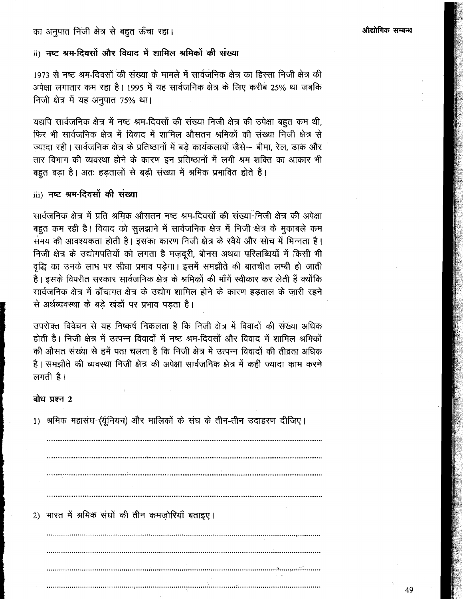### का अनुपात निजी क्षेत्र से बहुत ऊँचा रहा।

### ii) नष्ट श्रम-दिवसों और विवाद में शामिल श्रमिकों की संख्या

1973 से नष्ट श्रम-दिवसों की संख्या के मामले में सार्वजनिक क्षेत्र का हिस्सा निजी क्षेत्र की अपेक्षा लगातार कम रहा है। 1995 में यह सार्वजनिक क्षेत्र के लिए करीब 25% था जबकि निजी क्षेत्र में यह अनुपात 75% था।

यद्यपि सार्वजनिक क्षेत्र में नष्ट श्रम-दिवसों की संख्या निजी क्षेत्र की उपेक्षा बहुत कम थी, फिर भी सार्वजनिक क्षेत्र में विवाद में शामिल औसतन श्रमिकों की संख्या निजी क्षेत्र से ज्यादा रही। सार्वजनिक क्षेत्र के प्रतिष्ठानों में बड़े कार्यकलापों जैसे— बीमा, रेल, डाक और तार विभाग की व्यवस्था होने के कारण इन प्रतिष्ठानों में लगी श्रम शक्ति का आकार भी बहुत बड़ा है। अतः हड़तालों से बड़ी संख्या में श्रमिक प्रभावित होते हैं।

#### iii) नष्ट श्रम-दिवसों की संख्या

सार्वजनिक क्षेत्र में प्रति श्रमिक औसतन नष्ट श्रम-दिवसों की संख्या-निजी क्षेत्र की अपेक्षा बहुत कम रही है। विवाद को सुलझाने में सार्वजनिक क्षेत्र में निजी क्षेत्र के मुकाबले कम समय की आवश्यकता होती है। इसका कारण निजी क्षेत्र के रवैये और सोच में भिन्नता है। निजी क्षेत्र के उद्योगपतियों को लगता है मजदूरी, बोनस अथवा परिलब्धियों में किसी भी वृद्धि का उनके लाभ पर सीधा प्रभाव पड़ेगा। इसमें समझौते की बातचीत लम्बी हो जाती हैं। इसके विपरीत सरकार सार्वजनिक क्षेत्र के श्रमिकों की माँगें स्वीकार कर लेती हैं क्योंकि सार्वजनिक क्षेत्र में ढाँचागत क्षेत्र के उद्योग शामिल होने के कारण हड़ताल के जारी रहने से अर्थव्यवस्था के बड़े खंड़ों पर प्रभाव पड़ता है।

उपरोक्त विवेचन से यह निष्कर्ष निकलता है कि निजी क्षेत्र में विवादों की संख्या अधिक होती है। निजी क्षेत्र में उत्पन्न विवादों में नष्ट श्रम-दिवसों और विवाद में शामिल श्रमिकों की औसत संख्या से हमें पता चलता है कि निजी क्षेत्र में उत्पन्न विवादों की तीव्रता अधिक है। समझौते की व्यवस्था निजी क्षेत्र की अपेक्षा सार्वजनिक क्षेत्र में कहीं ज्यादा काम करने लगती $\hat{z}$ ।

#### बोध प्रश्न $2$

1) श्रमिक महासंघ (यूनियन) और मालिकों के संघ के तीन-तीन उदाहरण दीजिए। 2) भारत में श्रमिक संघों की तीन कमजोरियाँ बताइए।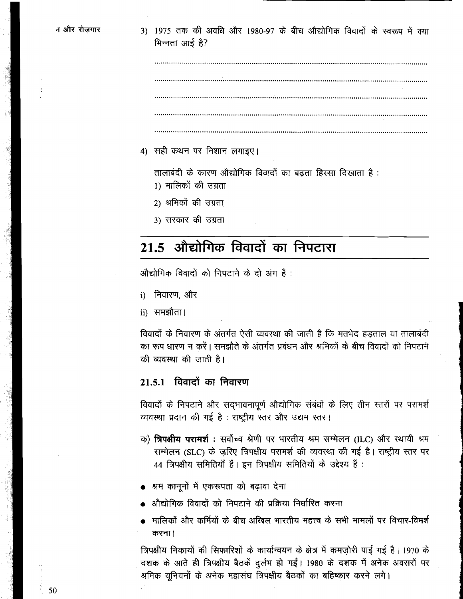3) 1975 तक की अवधि और 1980-97 के बीच औद्योगिक विवाटों के स्वरूप में क्या भिन्नता आई है?

4) सही कथन पर निशान लगाइए।

तालाबंदी के कारण औद्योगिक विवादों का बढता हिस्सा दिखाता है: 1) मालिकों की उग्रता

- 2) श्रमिकों की उग्रता
- 3) सरकार की उग्रता

# 21.5 औद्योगिक विवादों का निपटारा

औद्योगिक विवादों को निपटाने के दो अंग हैं :

- i) निवारण और
- ii) समझौता।

विवादों के निवारण के अंतर्गत ऐसी व्यवस्था की जाती है कि मतभेद हडताल या तालाबंदी का रूप धारण न करें। समझौते के अंतर्गत प्रबंधन और श्रमिकों के बीच विवादों को निपटाने की व्यवस्था की जाती है।

### 21.5.1 विवादों का निवारण

विवादों के निपटाने और सदभावनापूर्ण औद्योगिक संबंधों के लिए तीन स्तरों पर परामर्श व्यवस्था प्रदान की गई है : राष्ट्रीय स्तर और उद्यम स्तर।

- क) **त्रिपक्षीय परामर्श**: सर्वोच्च श्रेणी पर भारतीय श्रम सम्मेलन (ILC) और स्थायी श्रम सम्मेलन (SLC) के जरिए त्रिपक्षीय परामर्श की व्यवस्था की गई है। राष्ट्रीय स्तर पर 44 त्रिपक्षीय समितियाँ हैं। इन त्रिपक्षीय समितियों के उद्देश्य हैं:
- श्रम कानूनों में एकरूपता को बढावा देना
- औद्योगिक विवादों को निपटाने की प्रक्रिया निर्धारित करना
- मालिकों और कर्मियों के बीच अखिल भारतीय महत्त्व के सभी मामलों पर विचार-विमर्श करना।

त्रिपक्षीय निकायों की सिफारिशों के कार्यान्वयन के क्षेत्र में कमजोरी पाई गई है। 1970 के दशक के आते ही त्रिपक्षीय बैठकें दुर्लभ हो गईं। 1980 के दशक में अनेक अवसरों पर श्रमिक यूनियनों के अनेक महासंघ त्रिपक्षीय बैठकों का बहिष्कार करने लगे।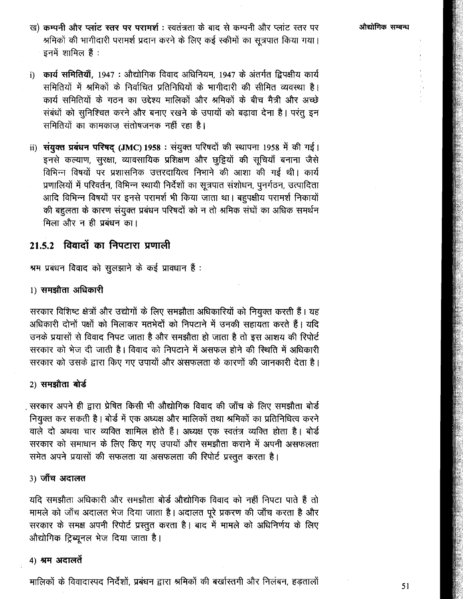औद्योगिक सम्बन्ध

- ख) कम्पनी और प्लांट स्तर पर परामर्श : स्वतंत्रता के बाद से कम्पनी और प्लांट स्तर पर श्रमिकों की भागीदारी परामर्श प्रदान करने के लिए कई स्कीमों का सूत्रपात किया गया। इनमें शामिल हैं :
- i) कार्य समितियाँ, 1947 : औद्योगिक विवाद अधिनियम, 1947 के अंतर्गत द्विपक्षीय कार्य समितियों में श्रमिकों के निर्वाचित प्रतिनिधियों के भागीदारी की सीमित व्यवस्था है। कार्य समितियों के गठन का उद्देश्य मालिकों और श्रमिकों के बीच मैत्री और अच्छे संबंधों को सुनिश्चित करने और बनाए रखने के उपायों को बढ़ावा देना है। परंतु इन समितियों का कामकाज संतोषजनक नहीं रहा है।
- ii) संयुक्त प्रबंधन परिषद् (JMC) 1958 : संयुक्त परिषदों की स्थापना 1958 में की गई। इनसे कल्याण, सुरक्षा, व्यावसायिक प्रशिक्षण और छुट्टियों की सूचियाँ बनाना जैसे विभिन्न विषयों पर प्रशासनिक उत्तरदायित्व निभाने की आशा की गई थी। कार्य प्रणालियों में परिवर्तन, विभिन्न स्थायी निर्देशों का सूत्रपात संशोधन, पूनर्गठन, उत्पादिता आदि विभिन्न विषयों पर इनसे परामर्श भी किया जाता था। बहुपक्षीय परामर्श निकायों की बहुलता के कारण संयुक्त प्रबंधन परिषदों को न तो श्रमिक संघों का अधिक समर्थन मिला और न ही प्रबंधन का।

# 21.5.2 विवादों का निपटारा प्रणाली

श्रम प्रबंधन विवाद को सुलझाने के कई प्रावधान हैं :

#### 1) समझौता अधिकारी

सरकार विशिष्ट क्षेत्रों और उद्योगों के लिए समझौता अधिकारियों को नियुक्त करती हैं। यह अधिकारी दोनों पक्षों को मिलाकर मतभेदों को निपटाने में उनकी सहायता करते हैं। यदि उनके प्रयासों से विवाद निपट जाता है और समझौता हो जाता है तो इस आशय की रिपोर्ट सरकार को भेज दी जाती है। विवाद को निपटाने में असफल होने की स्थिति में अधिकारी सरकार को उसके द्वारा किए गए उपायों और असफलता के कारणों की जानकारी देता है।

### 2) समझौता बोर्ड

, सरकार अपने ही द्वारा प्रेषित किसी भी औद्योगिक विवाद की जाँच के लिए समझौता बोर्ड नियुक्त कर सकती है। बोर्ड में एक अध्यक्ष और मालिकों तथा श्रमिकों का प्रतिनिधित्व करने वाले दो अथवा चार व्यक्ति शामिल होते हैं। अध्यक्ष एक स्वतंत्र व्यक्ति होता है। बोर्ड सरकार को समाधान के लिए किए गए उपायों और समझौता कराने में अपनी असफलता समेत अपने प्रयासों की सफलता या असफलता की रिपोर्ट प्रस्तुत करता है।

#### 3) जाँच अदालत

यदि समझौता अधिकारी और समझौता बोर्ड औद्योगिक विवाद को नहीं निपटा पाते हैं तो मामले को जाँच अदालत भेज दिया जाता है। अदालत पूरे प्रकरण की जाँच करता है और सरकार के समक्ष अपनी रिपोर्ट प्रस्तुत करता है। बाद में मामले को अधिनिर्णय के लिए ओद्योगिक ट्रिब्यूनल भेज दिया जाता है।

#### 4) श्रम अदालतें

मालिकों के विवादास्पद निर्देशों, प्रबंधन द्वारा श्रमिकों की बर्खास्तगी और निलंबन, हडतालों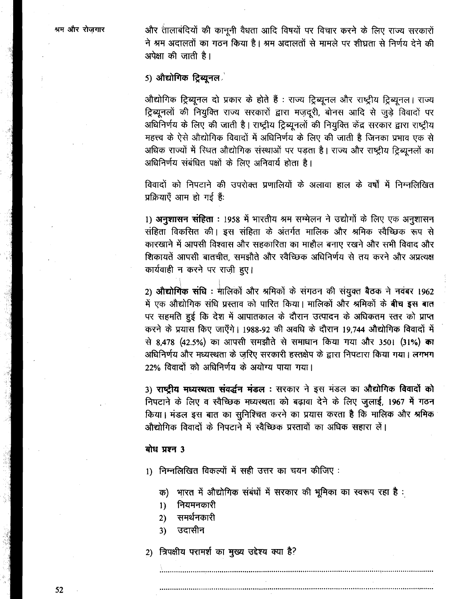और तालाबंदियों की कानूनी वैधता आदि विषयों पर विचार करने के लिए राज्य सरकारों ने श्रम अदालतों का गठन किया है। श्रम अदालतों से मामले पर शीघ्रता से निर्णय देने की अपेक्षा की जाती है।

### 5) औद्योगिक ट्रिब्यूनल $\mathbb{Z}$

औद्योगिक ट्रिब्यूनल दो प्रकार के होते हैं : राज्य ट्रिब्यूनल और राष्ट्रीय ट्रिब्यूनल। राज्य ट्रिब्यूनलों की नियुक्ति राज्य सरकारों द्वारा मज़दूरी, बोनस आदि से जुड़े विवादों पर अधिनिर्णय के लिए की जाती है। राष्ट्रीय ट्रिब्यूनलों की नियुक्ति केंद्र सरकार द्वारा राष्ट्रीय महत्त्व के ऐसे औद्योगिक विवादों में अधिनिर्णय के लिए की जाती है जिनका प्रभाव एक से अधिक राज्यों में स्थित औद्योगिक संस्थाओं पर पडता है। राज्य और राष्ट्रीय ट्रिब्युनलों का अधिनिर्णय संबंधित पक्षों के लिए अनिवार्य होता है।

विवादों को निपटाने की उपरोक्त प्रणालियों के अलावा हाल के वर्षों में निम्नलिखित प्रक्रियाएँ आम हो गई हैं:

1) अनुशासन संहिता : 1958 में भारतीय श्रम सम्मेलन ने उद्योगों के लिए एक अनुशासन संहिता विकसित की। इस संहिता के अंतर्गत मालिक और श्रमिक स्वैच्छिक रूप से कारखाने में आपसी विश्वास और सहकारिता का माहौल बनाए रखने और सभी विवाद और शिकायतें आपसी बातचीत, समझौते और स्वैच्छिक अधिनिर्णय से तय करने और अप्रत्यक्ष कार्यवाही न करने पर राजी हुए।

2) औद्योगिक संधि: मालिकों और श्रमिकों के संगठन की संयुक्त बैठक ने नवंबर 1962 में एक औद्योगिक संधि प्रस्ताव को पारित किया। मालिकों और श्रमिकों के बीच इस बात पर सहमति हुई कि देश में आपातकाल के दौरान उत्पादन के अधिकतम स्तर को प्राप्त करने के प्रयास किए जाएँगे। 1988-92 की अवधि के दौरान 19,744 औद्योगिक विवादों में से 8,478 (42.5%) का आपसी समझौते से समाधान किया गया और 3501 (31%) का अधिनिर्णय और मध्यस्थता के जरिए सरकारी हस्तक्षेप के द्वारा निपटारा किया गया। लगभग 22% विवादों को अधिनिर्णय के अयोग्य पाया गया।

3) राष्ट्रीय मध्यस्थता संवर्द्धन मंडल: सरकार ने इस मंडल का औद्योगिक विवादों को निपटाने के लिए व स्वैच्छिक मध्यस्थता को बढ़ावा देने के लिए जुलाई, 1967 में गठन किया। मंडल इस बात का सुनिश्चित करने का प्रयास करता है कि मालिक और श्रमिक औद्योगिक विवादों के निपटाने में स्वैच्छिक प्रस्तावों का अधिक सहारा लें।

#### बोध प्रश्न 3

1) निम्नलिखित विकल्पों में सही उत्तर का चयन कीजिए :

भारत में औद्योगिक संबंधों में सरकार की भूमिका का स्वरूप रहा है : क)

- नियमनकारी  $1)$
- समर्थनकारी  $2)$
- उदासीन  $3)$

2) त्रिपक्षीय परामर्श का मुख्य उद्देश्य क्या है?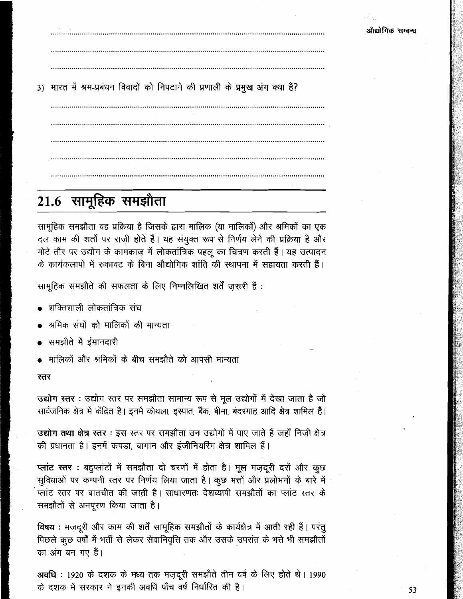3) भारत में श्रम-प्रबंधन विवादों को निपटाने की प्रणाली के प्रमुख अंग क्या हैं?

# 21.6 सामूहिक समझौता

सामूहिक समझौता वह प्रक्रिया है जिसके द्वारा मालिक (या मालिकों) और श्रमिकों का एक दल काम की शर्तों पर राज़ी होते हैं। यह संयुक्त रूप से निर्णय लेने की प्रक्रिया है और मोटे तौर पर उद्योग के कामकाज़ में लोकतांत्रिक पहलू का चित्रण करती हैं। यह उत्पादन के कार्यकलापों में रुकावट के बिना औद्योगिक शांति की स्थापना में सहायता करती हैं।

सामूहिक समझौते की सफलता के लिए निम्नलिखित शर्तें ज़रूरी हैं :

- शक्तिशाली लोकतांत्रिक संघ
- श्रमिक संघों को मालिकों की मान्यता
- समझौते में ईमानदारी
- मालिकों और श्रमिकों के बीच समझौते को आपसी मान्यता

#### रतर

उद्योग स्तर : उद्योग रतर पर समझौता सामान्य रूप से मूल उद्योगों में देखा जाता है जो सार्वजनिक क्षेत्र में केंद्रित है। इनमें कोयला, इस्पात, बैंक, बीमा, बंदरगाह आदि क्षेत्र शामिल हैं।

उद्योग तथा क्षेत्र स्तर : इस स्तर पर समझौता उन उद्योगों में पाए जाते हैं जहाँ निजी क्षेत्र की प्रधानता है। इनमें कपड़ा, बागान और इंजीनियरिंग क्षेत्र शामिल हैं।

प्लांट रतर : बहुप्लांटों में समझौता दो चरणों में होता है। मूल मज़दूरी दरों और कूछ सूविधाओं पर कम्पनी रतर पर निर्णय लिया जाता है। कूछ भत्तों और प्रलोभनों के बारे में प्लांट स्तर पर बातचीत की जाती है। साधारणतः देशव्यापी समझौतों का प्लांट स्तर के समझौतों से अनपूरण किया जाता है।

विषय : मज़दूरी और काम की शर्तें सामूहिक समझौतों के कार्यक्षेत्र में आती रही हैं। परंतु पिछले कूछ वर्षों में भर्ती से लेकर सेवानिवृत्ति तक और उसके उपरांत के भत्ते भी समझौतों का अंग बन गए हैं।

अवधि : 1920 के दशक के मध्य तक मज़दूरी समझौते तीन वर्ष के लिए होते थे। 1990 के दशक में सरकार ने इनकी अवधि पाँच वर्ष निर्धारित की है।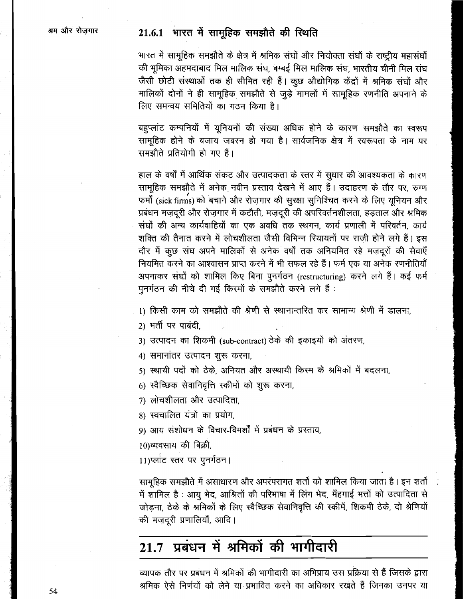# 21.6.1 भारत में सामूहिक समझौते की स्थिति

भारत में सामूहिक समझौते के क्षेत्र में श्रमिक संघों और नियोक्ता संघों के राष्ट्रीय महासंघों की भूमिका अहमदाबाद मिल मालिक संघ, बम्बई मिल मालिक संघ, भारतीय चीनी मिल संघ जैसी छोटी संस्थाओं तक ही सीमित रही हैं। कुछ औद्योगिक केंद्रों में श्रमिक संघों और मालिकों दोनों ने ही सामूहिक समझौते से जुड़े मामलों में सामूहिक रणनीति अपनाने के लिए समन्वय समितियों का गठन किया है।

बहुप्लांट कम्पनियों में यूनियनों की संख्या अधिक होने के कारण समझौते का स्वरूप सामूहिक होने के बजाय जबरन हो गया है। सार्वजनिक क्षेत्र में स्वरूपता के नाम पर समझौते प्रतियोगी हो गए हैं।

हाल के वर्षों में आर्थिक संकट और उत्पादकता के स्तर में सुधार की आवश्यकता के कारण सामूहिक समझौते में अनेक नवीन प्रस्ताव देखने में आए हैं। उदाहरण के तौर पर, रुग्ण फर्मों (sick firms) को बचाने और रोजगार की सुरक्षा सुनिश्चित करने के लिए युनियन और प्रबंधन मज़दूरी और रोज़गार में कटौती, मज़दूरी की अपरिवर्तनशीलता, हड़ताल और श्रमिक संघों की अन्य कार्यवाहियों का एक अवधि तक स्थगन, कार्य प्रणाली में परिवर्तन, कार्य शक्ति की तैनात करने में लोचशीलता जैसी विभिन्न रियायतों पर राजी होने लगे हैं। इस दौर में कुछ संघ अपने मालिकों से अनेक वर्षों तक अनियमित रहे मजदूरों की सेवाएँ नियमित करने का आश्वासन प्राप्त करने में भी सफल रहे हैं। फर्म एक या अनेक रणनीतियाँ अपनाकर संघों को शामिल किए बिना पुनर्गठन (restructuring) करने लगे हैं। कई फर्म पूनर्गठन की नीचे दी गई किस्मों के समझौते करने लगे हैं :

1) किसी काम को समझौते की श्रेणी से स्थानान्तरित कर सामान्य श्रेणी में डालना.

2) भर्ती पर पाबंदी.

3) उत्पादन का शिकमी (sub-contract) ठेके की इकाइयों को अंतरण,

4) समानांतर उत्पादन शुरू करना,

5) स्थायी पदों को ठेके, अनियत और अस्थायी किस्म के श्रमिकों में बदलना,

6) स्वैच्छिक सेवानिवृत्ति स्कीमों को शुरू करना,

7) लोचशीलता और उत्पादिता.

8) स्वचालित यंत्रों का प्रयोग.

9) आय संशोधन के विचार-विमर्शों में प्रबंधन के प्रस्ताव,

10)व्यवसाय की बिक्री.

11)प्लांट स्तर पर पुनर्गठन।

सामूहिक समझौते में असाधारण और अपरंपरागत शर्तों को शामिल किया जाता है। इन शर्तों में शामिल है : आयु भेद, आश्रितों की परिभाषा में लिंग भेद, मँहगाई भत्तों को उत्पादिता से जोड़ना, ठेके के श्रमिकों के लिए स्वैच्छिक सेवानिवृत्ति की स्कीमें, शिकमी ठेके, दो श्रेणियों की मज़दूरी प्रणालियाँ, आदि।

#### प्रबंधन में श्रमिकों की भागीदारी 21.7

व्यापक तौर पर प्रबंधन में श्रमिकों की भागीदारी का अभिप्राय उस प्रक्रिया से हैं जिसके द्वारा श्रमिक ऐसे निर्णयों को लेने या प्रभावित करने का अधिकार रखते हैं जिनका उनपर या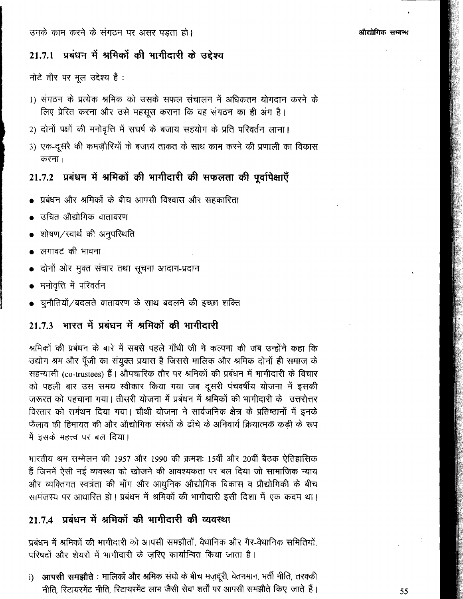# 21.7.1 प्रबंधन में श्रमिकों की भागीदारी के उद्देश्य

मोटे तौर पर मूल उद्देश्य हैं :

- 1) संगठन के प्रत्येक श्रमिक को उसके सफल संचालन में अधिकतम योगदान करने के लिए प्रेरित करना और उसे महसूस कराना कि वह संगठन का ही अंग है।
- 2) दोनों पक्षों की मनोवृत्ति में सघर्ष के बजाय सहयोग के प्रति परिवर्तन लाना।
- 3) एक-दूसरे की कमज़ोरियों के बजाय ताकत के साथ काम करने की प्रणाली का विकास करना।

# 21.7.2 प्रबंधन में श्रमिकों की भागीदारी की सफलता की पूर्वापेक्षाएँ

- ्प्रबंधन और श्रमिकों के बीच आपसी विश्वास और सहकारिता
- ं<br>सचित औद्योगिक वातावरण
- शोषण/स्वार्थ की अनुपरिथति
- लगावट की भावना
- दोनों ओर मुक्त संचार तथा सूचना आदान-प्रदान
- मनोवृत्ति में परिवर्तन
- चुनौतियों / बदलते वातावरण के साथ बदलने की इच्छा शक्ति

#### भारत में प्रबंधन में श्रमिकों की भागीदारी  $2173$

श्रमिकों की प्रबंधन के बारे में सबसे पहले गाँधी जी ने कल्पना की जब उन्होंने कहा कि उद्योग श्रम और पूँजी का संयुक्त प्रयास है जिससे मालिक और श्रमिक दोनों ही समाज के सहन्यासी (co-trustees) हैं | औपचारिक तौर पर श्रमिकों की प्रबंधन में भागीदारी के विचार को पहली बार उस समय स्वीकार किया गया जब दूसरी पंचवर्षीय योजना में इसकी जरूरत को पहचाना गया। तीसरी योजना में प्रबंधन में श्रमिकों की भागीदारी के उत्तरोत्तर विस्तार को सर्मथन दिया गया। चौथी योजना ने सार्वजनिक क्षेत्र के प्रतिष्ठानों में इनके फैलाव की हिमायत की और औद्योगिक संबंधों के ढाँचे के अनिवार्य क्रियात्मक कड़ी के रूप में इसके महत्त्व पर बल दिया।

भारतीय श्रम सम्मेलन की 1957 और 1990 की क्रमशः 15वीं और 20वीं बैठक ऐतिहासिक हैं जिनमें ऐसी नई व्यवस्था को खोजने की आवश्यकता पर बल दिया जो सामाजिक न्याय और व्यक्तिगत स्वत्रंता की माँग और आधुनिक औद्योगिक विकास व प्रौद्योगिकी के बीच सामंजस्य पर आधारित हो। प्रबंधन में श्रमिकों की भागीदारी इसी दिशा में एक कदम था।

# 21.7.4 प्रबंधन में श्रमिकों की भागीदारी की व्यवस्था

प्रबंधन में श्रमिकों की भागीदारी को आपसी समझौतों, वैधानिक और गैर-वैधानिक समितियों, परिषदों और शेयरों में भागीदारी के जरिए कार्यान्वित किया जाता है।

i) आपसी समझौते : मालिकों और श्रमिक संघों के बीच मजदूरी, वेतनमान, भर्ती नीति, तरक्की नीति, रिटायरमेंट नीति, रिटायरमेंट लाभ जैसी सेवा शर्तों पर आपसी समझौते किए जाते हैं।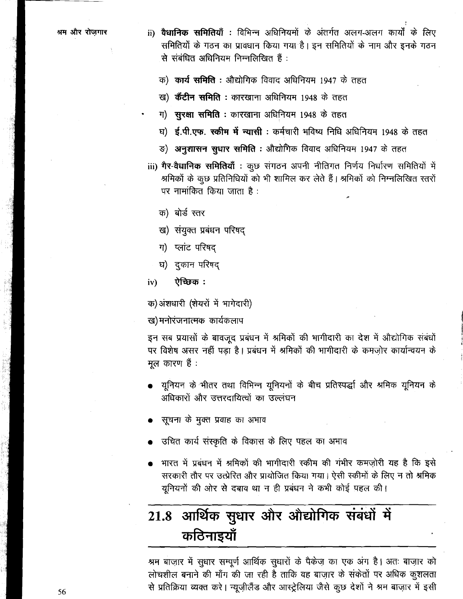- ii) वैधानिक समितियाँ : विभिन्न अधिनियमों के अंतर्गत अलग-अलग कार्यों के लिए समितियों के गठन का प्रावधान किया गया है। इन समितियों के नाम और इनके गठन से संबंधित अधिनियम निम्नलिखित हैं:
	- क) कार्य समिति : औद्योगिक विवाद अधिनियम 1947 के तहत
	- ख) केंटीन समिति : कारखाना अधिनियम 1948 के तहत
	- ग) सुरक्षा समिति : कारखाना अधिनियम 1948 के तहत
	- घ) **ई.पी.एफ. स्कीम में न्यासी:** कर्मचारी भविष्य निधि अधिनियम 1948 के तहत
	- ङ) अनुशासन सुधार समिति : औद्योगिक विवाद अधिनियम 1947 के तहत
- iii) गैर-वैधानिक समितियाँ : कूछ संगठन अपनी नीतिगत निर्णय निर्धारण समितियों में श्रमिकों के कूछ प्रतिनिधियों को भी शामिल कर लेते हैं। श्रमिकों को निम्नलिखित स्तरों पर नामांकित किया जाता है:
	- क) बोर्ड स्तर
	- ख) संयुक्त प्रबंधन परिषद
	- ग) प्लांट परिषद
	- घ) दुकान परिषद
- ऐच्छिक:  $iv)$

क) अंशधारी (शेयरों में भागेदारी)

ख)मनोरंजनात्मक कार्यकलाप

इन सब प्रयासों के बावजूद प्रबंधन में श्रमिकों की भागीदारी का देश में औद्योगिक संबंधों पर विशेष असर नहीं पड़ा है। प्रबंधन में श्रमिकों की भागीदारी के कमजोर कार्यान्वयन के मल कारण हैं :

- यूनियन के भीतर तथा विभिन्न यूनियनों के बीच प्रतिस्पर्द्धा और श्रमिक यूनियन के अधिकारों और उत्तरदायित्वों का उल्लंघन
- सूचना के मुक्त प्रवाह का अभाव
- उचित कार्य संस्कृति के विकास के लिए पहल का अभाव
- भारत में प्रबंधन में श्रमिकों की भागीदारी स्कीम की गंभीर कमज़ोरी यह है कि इसे सरकारी तौर पर उत्प्रेरित और प्रायोजित किया गया। ऐसी स्कीमों के लिए न तो श्रमिक यूनियनों की ओर से दबाव था न ही प्रबंधन ने कभी कोई पहल की।

# आर्थिक सुधार और औद्योगिक संबंधों में 21.8 कठिनाइयाँ

श्रम बाज़ार में सुधार सम्पूर्ण आर्थिक सुधारों के पैकेज़ का एक अंग है। अतः बाज़ार को लोचशील बनाने की माँग की जा रही है ताकि वह बाज़ार के संकेतों पर अधिक कुशलता से प्रतिक्रिया व्यक्त करे। न्यूज़ीलैंड और आस्ट्रेलिया जैसे कुछ देशों ने श्रम बाज़ार में इसी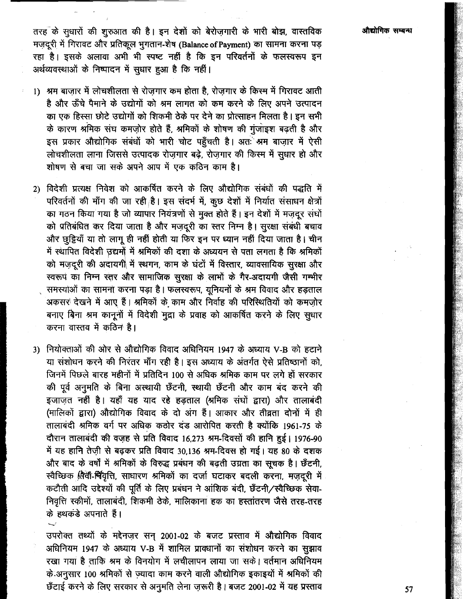तरह के सूधारों की शुरुआत की है। इन देशों को बेरोज़गारी के भारी बोझ, वास्तविक मज़दूरी में गिरावट और प्रतिकूल भुगतान-शेष (Balance of Payment) का सामना करना पड़ रहा है। इसके अलावा अभी भी स्पष्ट नहीं है कि इन परिवर्तनों के फलस्वरूप इन अर्थव्यवस्थाओं के निष्पादन में सुधार हुआ है कि नहीं।

- 1) श्रम बाजार में लोचशीलता से रोजगार कम होता है. रोजगार के किस्म में गिरावट आती है और ऊँचे पैमाने के उद्योगों को श्रम लागत को कम करने के लिए अपने उत्पादन का एक हिस्सा छोटे उद्योगों को शिकमी ठेके पर देने का प्रोत्साहन मिलता है। इन सभी के कारण श्रमिक संघ कमज़ोर होते हैं, श्रमिकों के शोषण की गुंजाइश बढ़ती है और इस प्रकार औद्योगिक संबंधों को भारी चोट पहुँचती है। अतः श्रम बाज़ार में ऐसी लोचशीलता लाना जिससे उत्पादक रोजगार बढ़े, रोजगार की किस्म में सुधार हो और .<br>शोषण से बचा जा सके अपने आप में एक कठिन काम है।
- 2) विदेशी प्रत्यक्ष निवेश को आकर्षित करने के लिए औद्योगिक संबंधों की पद्धति में परिवर्तनों की माँग की जा रही है। इस संदर्भ में, कुछ देशों में निर्यात संसाधन क्षेत्रों का गठन किया गया है जो व्यापार नियंत्रणों से मुक्त होते हैं। इन देशों में मज़दूर संघों को प्रतिबंधित कर दिया जाता है और मज़दूरी का स्तर निम्न है। सुरक्षा संबंधी बचाव और छूट्टियाँ या तो लागू ही नहीं होती या फिर इन पर ध्यान नहीं दिया जाता है। चीन में स्थापित विदेशी उद्यमों में श्रमिकों की दशा के अध्ययन से पता लगता है कि श्रमिकों को मजदूरी की अदायगी में स्थगन, काम के घंटों में विस्तार, व्यावसायिक सुरक्षा और स्वरूप का निम्न स्तर और सामाजिक सुरक्षा के लाभों के गैर-अदायगी जैसी गम्भीर समस्याओं का सामना करना पड़ा है। फलस्वरूप, युनियनों के श्रम विवाद और हड़ताल अकसर देखने में आए हैं। श्रमिकों के काम और निर्वाह की परिस्थितियों को कमज़ोर बनाए बिना श्रम कानूनों में विदेशी मुद्रा के प्रवाह को आकर्षित करने के लिए सुधार करना वास्तव में कठिन है।
- 3) नियोक्ताओं की ओर से औद्योगिक विवाद अधिनियम 1947 के अध्याय V-B को हटाने या संशोधन करने की निरंतर माँग रही है। इस अध्याय के अंतर्गत ऐसे प्रतिष्ठानों को. जिनमें पिछले बारह महीनों में प्रतिदिन 100 से अधिक श्रमिक काम पर लगे हों सरकार की पूर्व अनुमति के बिना अस्थायी छँटनी, स्थायी छँटनी और काम बंद करने की इजाजत नहीं है। यहाँ यह याद रहे हड़ताल (श्रमिक संघों द्वारा) और तालाबंदी (मालिकों द्वारा) औद्योगिक विवाद के दो अंग हैं। आकार और तीव्रता दोनों में ही तालाबंदी श्रमिक वर्ग पर अधिक कठोर दंड आरोपित करती है क्योंकि 1961-75 के दौरान तालाबंदी की वजह से प्रति विवाद 16,273 श्रम-दिवसों की हानि हुई। 1976-90 में यह हानि तेज़ी से बढ़कर प्रति विवाद 30,136 श्रम-दिवस हो गई। यह 80 के दशक और बाद के वर्षों में श्रमिकों के विरुद्ध प्रबंधन की बढ़ती उग्रता का सूचक है। छँटनी, स्वैच्छिक सिवी-चिवृत्ति, साधारण श्रमिकों का दर्जा घटाकर बदली करना, मज़दूरी में कटौती आदि उद्देश्यों की पूर्ति के लिए प्रबंधन ने आंशिक बंदी, छँटनी/स्वैच्छिक सेवा-निवृत्ति स्कीमों, तालाबंदी, शिकमी ठेके, मालिकाना हक का हस्तांतरण जैसे तरह-तरह के हथकड़े अपनाते हैं।

उपरोक्त तथ्यों के मद्देनज़र सन् 2001-02 के बजट प्रस्ताव में औद्योगिक विवाद अधिनियम 1947 के अध्याय V-B में शामिल प्रावधानों का संशोधन करने का सुझाव रखा गया है ताकि श्रम के विनयोग में लचीलापन लाया जा सके। वर्तमान अधिनियम के अनुसार 100 श्रमिकों से ज़्यादा काम करने वाली औद्योगिक इकाइयों में श्रमिकों की छँटाई करने के लिए सरकार से अनुमति लेना ज़रूरी है। बजट 2001-02 में यह प्रस्ताव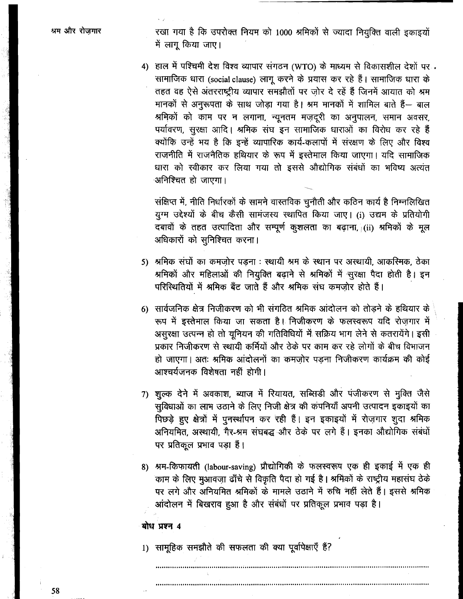रखा गया है कि उपरोक्त नियम को 1000 श्रमिकों से ज्यादा नियुक्ति वाली इकाइयों में लागू किया जाए।

4) हाल में पश्चिमी देश विश्व व्यापार संगठन (WTO) के माध्यम से विकासशील देशों पर सामाजिक धारा (social clause) लाग करने के प्रयास कर रहे हैं। सामाजिक धारा के तहत वह ऐसे अंतरराष्ट्रीय व्यापार समझौतों पर जोर दे रहें हैं जिनमें आयात को श्रम मानकों से अनुरूपता के साथ जोड़ा गया है। श्रम मानकों में शामिल बाते हैं— बाल श्रमिकों को काम पर न लगाना, न्यूनतम मज़दूरी का अनुपालन, समान अवसर, पर्यावरण, सुरक्षा आदि। श्रमिक संघ इन सामाजिक धाराओं का विरोध कर रहे हैं क्योंकि उन्हें भय है कि इन्हें व्यापारिक कार्य-कलापों में संरक्षण के लिए और विश्व राजनीति में राजनैतिक हथियार के रूप में इस्तेमाल किया जाएगा। यदि सामाजिक धारा को स्वीकार कर लिया गया तो इससे औद्योगिक संबंधों का भविष्य अत्यंत अनिश्चित हो जाएगा।

संक्षिप्त में, नीति निर्धारकों के सामने वास्तविक चुनौती और कठिन कार्य है निम्नलिखित यूग्म उद्देश्यों के बीच कैसी सामंजस्य स्थापित किया जाए। (i) उद्यम के प्रतियोगी दबावों के तहत उत्पादिता और सम्पूर्ण कूशलता का बढ़ाना, (ii) श्रमिकों के मूल अधिकारों को सुनिश्चित करना।

- 5) श्रमिक संघों का कमज़ोर पड़ना : स्थायी श्रम के स्थान पर अस्थायी, आकस्मिक, ठेका श्रमिकों और महिलाओं की नियुक्ति बढ़ाने से श्रमिकों में सुरक्षा पैदा होती है। इन परिस्थितियों में श्रमिक बँट जाते हैं और श्रमिक संघ कमज़ोर होते हैं।
- 6) सार्वजनिक क्षेत्र निजीकरण को भी संगठित श्रमिक आंदोलन को तोडने के हथियार के रूप में इस्तेमाल किया जा सकता है। निजीकरण के फलस्वरूप यदि रोज़गार में असूरक्षा उत्पन्न हो तो यूनियन की गतिविधियों में सक्रिय भाग लेने से कतरायेंगे। इसी प्रकार निजीकरण से स्थायी कर्मियों और ठेके पर काम कर रहे लोगों के बीच विभाजन हो जाएगा। अतः श्रमिक आंदोलनों का कमजोर पडना निजीकरण कार्यक्रम की कोई आश्चर्यजनक विशेषता नहीं होगी।
- 7) शूल्क देने में अवकाश, ब्याज में रियायत, सब्सिडी और पंजीकरण से मुक्ति जैसे सुविधाओं का लाभ उठाने के लिए निजी क्षेत्र की कंपनियाँ अपनी उत्पादन इकाइयों का पिछड़े हुए क्षेत्रों में पुनर्स्थापन कर रही हैं। इन इकाइयों में रोजगार शूदा श्रमिक अनियमित, अस्थायी, गैर-श्रम संघबद्ध और ठेके पर लगे हैं। इनका औद्योगिक संबंधों पर प्रतिकूल प्रभाव पड़ा है।
- 8) श्रम-किफायती (labour-saving) प्रौद्योगिकी के फलस्वरूप एक ही इकाई में एक ही काम के लिए मुआवजा ढाँचे से विकृति पैदा हो गई है। श्रमिकों के राष्ट्रीय महासंघ ठेके पर लगे और अनियमित श्रमिकों के मामले उठाने में रुचि नहीं लेते हैं। इससे श्रमिक आंदोलन में बिखराव हुआ है और संबंधों पर प्रतिकूल प्रभाव पड़ा है।

#### बोध प्रश्न 4

1) सामहिक समझौते की सफलता की क्या पूर्वापेक्षाएँ हैं?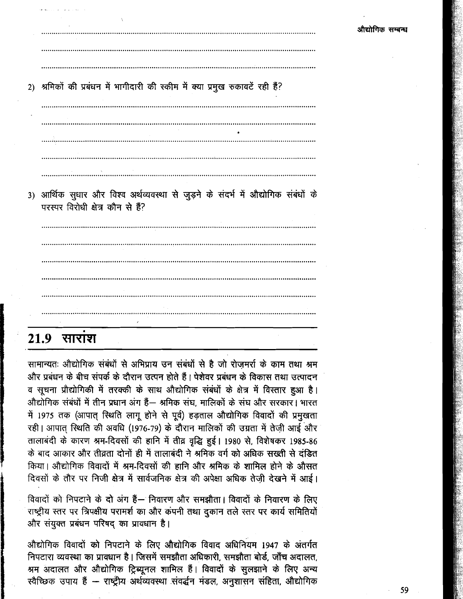2) श्रमिकों की प्रबंधन में भागीदारी की स्कीम में क्या प्रमुख रुकावटें रही हैं?

3) आर्थिक सुधार और विश्व अर्थव्यवस्था से जुड़ने के संदर्भ में औद्योगिक संबंधों के परस्पर विरोधी क्षेत्र कौन से हैं?

# $21.9$  साराश

सामान्यतः औद्योगिक संबंधों से अभिप्राय उन संबंधों से है जो रोजमर्रा के काम तथा श्रम और प्रबंधन के बीच संपर्क के दौरान उत्पन होते हैं। पेशेवर प्रबंधन के विकास तथा उत्पादन व सूचना प्रौद्योगिकी में तरक्की के साथ औद्योगिक संबंधों के क्षेत्र में विस्तार हुआ है। औद्योगिक संबंधों में तीन प्रधान अंग हैं— श्रमिक संघ. मालिकों के संघ और सरकार। भारत में 1975 तक (आपात् स्थिति लागू होने से पूर्व) हड़ताल औद्योगिक विवादों की प्रमुखता रही। आपात स्थिति की अवधि (1976-79) के दौरान मालिकों की उग्रता में तेजी आई और तालाबंदी के कारण श्रम-दिवसों की हानि में तीव्र वृद्धि हुई। 1980 से, विशेषकर 1985-86 के बाद आकार और तीव्रता दोनों ही में तालाबंदी ने श्रमिक वर्ग को अधिक सख्ती से दंडित किया। औद्योगिक विवादों में श्रम-दिवसों की हानि और श्रमिक के शामिल होने के औसत दिवसों के तौर पर निजी क्षेत्र में सार्वजनिक क्षेत्र की अपेक्षा अधिक तेजी देखने में आई।

विवादों को निपटाने के दो अंग हैं— निवारण और समझौता। विवादों के निवारण के लिए राष्ट्रीय स्तर पर त्रिपक्षीय परामर्श का और कंपनी तथा दुकान तले स्तर पर कार्य समितियों और संयुक्त प्रबंधन परिषद का प्रावधान है।

औद्योगिक विवादों को निपटाने के लिए औद्योगिक विवाद अधिनियम 1947 के अंतर्गत निपटारा व्यवस्था का प्रावधान है। जिसमें समझौता अधिकारी, समझौता बोर्ड, जाँच अदालत, श्रम अदालत और औद्योगिक ट्रिब्यूनल शामिल हैं। विवादों के सुलझाने के लिए अन्य रवैच्छिक उपाय हैं – राष्ट्रीय अर्थव्यवस्था संवर्द्धन मंडल, अनुशासन संहिता, औद्योगिक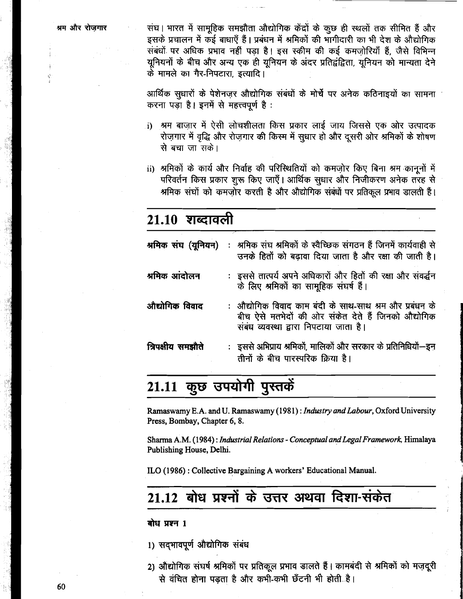संघ। भारत में सामुहिक समझौता औद्योगिक केंद्रों के कुछ ही स्थलों तक सीमित हैं और इसके प्रचालन में कई बाधाएँ हैं। प्रबंधन में श्रमिकों की भागीदारी का भी देश के औद्योगिक संबंधों पर अधिक प्रभाव नहीं पड़ा है। इस स्कीम की कई कमजोरियाँ हैं, जैसे विभिन्न यूनियनों के बीच और अन्य एक ही यूनियन के अंदर प्रतिद्वंद्विता, यूनियन को मान्यता देने के मामले का गैर-निपटारा इत्यादि।

आर्थिक सुधारों के पेशेनजुर औद्योगिक संबंधों के मोर्चे पर अनेक कठिनाइयों का सामना करना पड़ा है। इनमें से महत्त्वपूर्ण है:

- श्रम बाज़ार में ऐसी लोचशीलता किस प्रकार लाई जाय जिससे एक ओर उत्पादक i) रोज़गार में वृद्धि और रोज़गार की किस्म में सूधार हो और दूसरी ओर श्रमिकों के शोषण से बचा जा सके।
- ii) श्रमिकों के कार्य और निर्वाह की परिस्थितियों को कमज़ोर किए बिना श्रम कानूनों में परिवर्तन किस प्रकार शुरू किए जाएँ। आर्थिक सुधार और निजीकरण अनेक तरह से श्रमिक संघों को कमजोर करती है और औद्योगिक संबंधों पर प्रतिकल प्रभाव डालती हैं।

# $21.10$  शब्दावली

|                   | श्रमिक संघ (यूनियन) : श्रमिक संघ श्रमिकों के स्वैच्छिक संगठन हैं जिनमें कार्यवाही से<br>उनके हितों को बढ़ावा दिया जाता है और रक्षा की जाती है।           |
|-------------------|----------------------------------------------------------------------------------------------------------------------------------------------------------|
| श्रमिक आंदोलन     | : इससे तात्पर्य अपने अधिकारों और हितों की रक्षा और संवर्द्धन<br>के लिए श्रमिकों का सामूहिक संघर्ष हैं।                                                   |
| औद्योगिक विवाद    | : औद्योगिक विवाद काम बंदी के साथ-साथ श्रम और प्रबंधन के<br>बीच ऐसे मतभेदों की ओर संकेत देते हैं जिनको औद्योगिक<br>संबंध व्यवस्था द्वारा निपटाया जाता है। |
| त्रिपक्षीय समझौते | : इससे अभिप्राय श्रमिकों, मालिकों और सरकार के प्रतिनिधियों--इन<br>तीनों के बीच पारस्परिक क्रिया है।                                                      |

# 21.11 कुछ उपयोगी पुस्तकें

Ramaswamy E.A. and U. Ramaswamy (1981): Industry and Labour, Oxford University Press, Bombay, Chapter 6, 8.

Sharma A.M. (1984): Industrial Relations - Conceptual and Legal Framework, Himalaya Publishing House, Delhi.

ILO (1986) : Collective Bargaining A workers' Educational Manual.

# 21.12 बोध प्रश्नों के उत्तर अथवा दिशा-संकेत

#### बोध प्रश्न 1

1) सदभावपूर्ण औद्योगिक संबंध

2) औद्योगिक संघर्ष श्रमिकों पर प्रतिकूल प्रभाव डालते हैं। कामबंदी से श्रमिकों को मज़दूरी से वंचित होना पडता है और कभी-कभी छँटनी भी होती है।